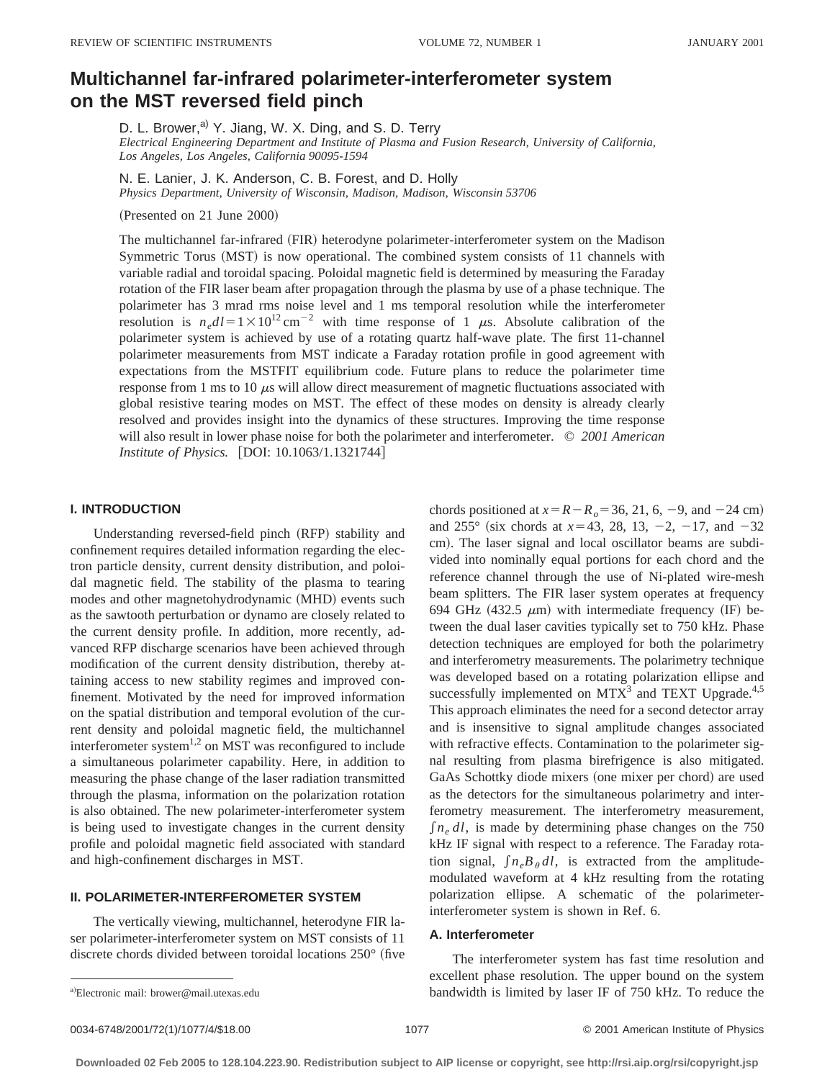# **Multichannel far-infrared polarimeter-interferometer system on the MST reversed field pinch**

D. L. Brower,<sup>a)</sup> Y. Jiang, W. X. Ding, and S. D. Terry

*Electrical Engineering Department and Institute of Plasma and Fusion Research, University of California, Los Angeles, Los Angeles, California 90095-1594*

N. E. Lanier, J. K. Anderson, C. B. Forest, and D. Holly

*Physics Department, University of Wisconsin, Madison, Madison, Wisconsin 53706*

(Presented on 21 June 2000)

The multichannel far-infrared (FIR) heterodyne polarimeter-interferometer system on the Madison Symmetric Torus (MST) is now operational. The combined system consists of 11 channels with variable radial and toroidal spacing. Poloidal magnetic field is determined by measuring the Faraday rotation of the FIR laser beam after propagation through the plasma by use of a phase technique. The polarimeter has 3 mrad rms noise level and 1 ms temporal resolution while the interferometer resolution is  $n_e dl = 1 \times 10^{12} \text{ cm}^{-2}$  with time response of 1  $\mu$ s. Absolute calibration of the polarimeter system is achieved by use of a rotating quartz half-wave plate. The first 11-channel polarimeter measurements from MST indicate a Faraday rotation profile in good agreement with expectations from the MSTFIT equilibrium code. Future plans to reduce the polarimeter time response from 1 ms to 10  $\mu$ s will allow direct measurement of magnetic fluctuations associated with global resistive tearing modes on MST. The effect of these modes on density is already clearly resolved and provides insight into the dynamics of these structures. Improving the time response will also result in lower phase noise for both the polarimeter and interferometer. © *2001 American Institute of Physics.* [DOI: 10.1063/1.1321744]

# **I. INTRODUCTION**

Understanding reversed-field pinch (RFP) stability and confinement requires detailed information regarding the electron particle density, current density distribution, and poloidal magnetic field. The stability of the plasma to tearing modes and other magnetohydrodynamic (MHD) events such as the sawtooth perturbation or dynamo are closely related to the current density profile. In addition, more recently, advanced RFP discharge scenarios have been achieved through modification of the current density distribution, thereby attaining access to new stability regimes and improved confinement. Motivated by the need for improved information on the spatial distribution and temporal evolution of the current density and poloidal magnetic field, the multichannel interferometer system<sup>1,2</sup> on MST was reconfigured to include a simultaneous polarimeter capability. Here, in addition to measuring the phase change of the laser radiation transmitted through the plasma, information on the polarization rotation is also obtained. The new polarimeter-interferometer system is being used to investigate changes in the current density profile and poloidal magnetic field associated with standard and high-confinement discharges in MST.

### **II. POLARIMETER-INTERFEROMETER SYSTEM**

The vertically viewing, multichannel, heterodyne FIR laser polarimeter-interferometer system on MST consists of 11 discrete chords divided between toroidal locations  $250^\circ$  (five chords positioned at  $x = R - R_0 = 36, 21, 6, -9,$  and  $-24$  cm) and 255° (six chords at  $x=43, 28, 13, -2, -17,$  and  $-32$ cm). The laser signal and local oscillator beams are subdivided into nominally equal portions for each chord and the reference channel through the use of Ni-plated wire-mesh beam splitters. The FIR laser system operates at frequency 694 GHz (432.5  $\mu$ m) with intermediate frequency (IF) between the dual laser cavities typically set to 750 kHz. Phase detection techniques are employed for both the polarimetry and interferometry measurements. The polarimetry technique was developed based on a rotating polarization ellipse and successfully implemented on  $MTX<sup>3</sup>$  and TEXT Upgrade.<sup>4,5</sup> This approach eliminates the need for a second detector array and is insensitive to signal amplitude changes associated with refractive effects. Contamination to the polarimeter signal resulting from plasma birefrigence is also mitigated. GaAs Schottky diode mixers (one mixer per chord) are used as the detectors for the simultaneous polarimetry and interferometry measurement. The interferometry measurement,  $\int n_e dl$ , is made by determining phase changes on the 750 kHz IF signal with respect to a reference. The Faraday rotation signal,  $\int n_e B_\theta dl$ , is extracted from the amplitudemodulated waveform at 4 kHz resulting from the rotating polarization ellipse. A schematic of the polarimeterinterferometer system is shown in Ref. 6.

#### **A. Interferometer**

The interferometer system has fast time resolution and excellent phase resolution. The upper bound on the system bandwidth is limited by laser IF of 750 kHz. To reduce the

Electronic mail: brower@mail.utexas.edu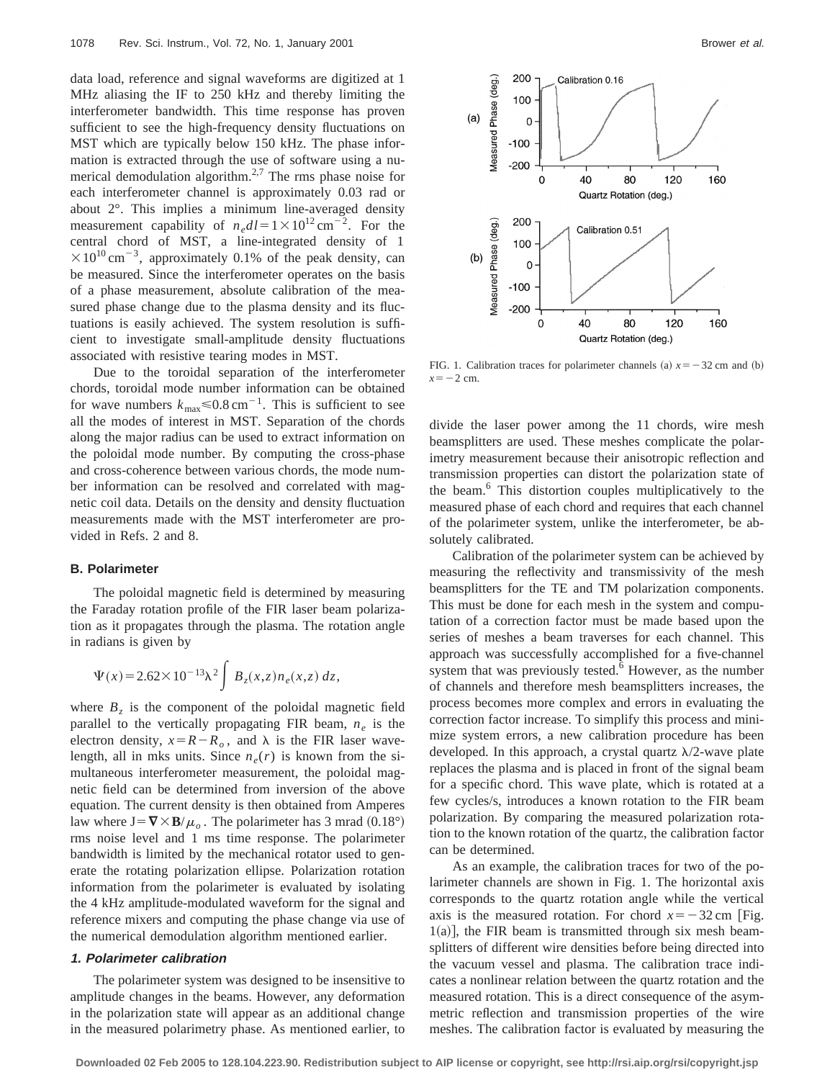data load, reference and signal waveforms are digitized at 1 MHz aliasing the IF to 250 kHz and thereby limiting the interferometer bandwidth. This time response has proven sufficient to see the high-frequency density fluctuations on MST which are typically below 150 kHz. The phase information is extracted through the use of software using a numerical demodulation algorithm.<sup>2,7</sup> The rms phase noise for each interferometer channel is approximately 0.03 rad or about 2°. This implies a minimum line-averaged density measurement capability of  $n_e dl = 1 \times 10^{12}$  cm<sup>-2</sup>. For the central chord of MST, a line-integrated density of 1  $\times 10^{10}$  cm<sup>-3</sup>, approximately 0.1% of the peak density, can be measured. Since the interferometer operates on the basis of a phase measurement, absolute calibration of the measured phase change due to the plasma density and its fluctuations is easily achieved. The system resolution is sufficient to investigate small-amplitude density fluctuations associated with resistive tearing modes in MST.

Due to the toroidal separation of the interferometer chords, toroidal mode number information can be obtained for wave numbers  $k_{\text{max}} \le 0.8 \text{ cm}^{-1}$ . This is sufficient to see all the modes of interest in MST. Separation of the chords along the major radius can be used to extract information on the poloidal mode number. By computing the cross-phase and cross-coherence between various chords, the mode number information can be resolved and correlated with magnetic coil data. Details on the density and density fluctuation measurements made with the MST interferometer are provided in Refs. 2 and 8.

#### **B. Polarimeter**

The poloidal magnetic field is determined by measuring the Faraday rotation profile of the FIR laser beam polarization as it propagates through the plasma. The rotation angle in radians is given by

$$
\Psi(x) = 2.62 \times 10^{-13} \lambda^2 \int B_z(x, z) n_e(x, z) dz,
$$

where  $B<sub>z</sub>$  is the component of the poloidal magnetic field parallel to the vertically propagating FIR beam, *ne* is the electron density,  $x=R-R_o$ , and  $\lambda$  is the FIR laser wavelength, all in mks units. Since  $n_e(r)$  is known from the simultaneous interferometer measurement, the poloidal magnetic field can be determined from inversion of the above equation. The current density is then obtained from Amperes law where  $J = \nabla \times \mathbf{B}/\mu_o$ . The polarimeter has 3 mrad (0.18°) rms noise level and 1 ms time response. The polarimeter bandwidth is limited by the mechanical rotator used to generate the rotating polarization ellipse. Polarization rotation information from the polarimeter is evaluated by isolating the 4 kHz amplitude-modulated waveform for the signal and reference mixers and computing the phase change via use of the numerical demodulation algorithm mentioned earlier.

#### **1. Polarimeter calibration**

The polarimeter system was designed to be insensitive to amplitude changes in the beams. However, any deformation in the polarization state will appear as an additional change in the measured polarimetry phase. As mentioned earlier, to



FIG. 1. Calibration traces for polarimeter channels (a)  $x = -32$  cm and (b)  $x=-2$  cm.

divide the laser power among the 11 chords, wire mesh beamsplitters are used. These meshes complicate the polarimetry measurement because their anisotropic reflection and transmission properties can distort the polarization state of the beam.6 This distortion couples multiplicatively to the measured phase of each chord and requires that each channel of the polarimeter system, unlike the interferometer, be absolutely calibrated.

Calibration of the polarimeter system can be achieved by measuring the reflectivity and transmissivity of the mesh beamsplitters for the TE and TM polarization components. This must be done for each mesh in the system and computation of a correction factor must be made based upon the series of meshes a beam traverses for each channel. This approach was successfully accomplished for a five-channel system that was previously tested. $6$  However, as the number of channels and therefore mesh beamsplitters increases, the process becomes more complex and errors in evaluating the correction factor increase. To simplify this process and minimize system errors, a new calibration procedure has been developed. In this approach, a crystal quartz  $\lambda/2$ -wave plate replaces the plasma and is placed in front of the signal beam for a specific chord. This wave plate, which is rotated at a few cycles/s, introduces a known rotation to the FIR beam polarization. By comparing the measured polarization rotation to the known rotation of the quartz, the calibration factor can be determined.

As an example, the calibration traces for two of the polarimeter channels are shown in Fig. 1. The horizontal axis corresponds to the quartz rotation angle while the vertical axis is the measured rotation. For chord  $x = -32$  cm [Fig.  $1(a)$ , the FIR beam is transmitted through six mesh beamsplitters of different wire densities before being directed into the vacuum vessel and plasma. The calibration trace indicates a nonlinear relation between the quartz rotation and the measured rotation. This is a direct consequence of the asymmetric reflection and transmission properties of the wire meshes. The calibration factor is evaluated by measuring the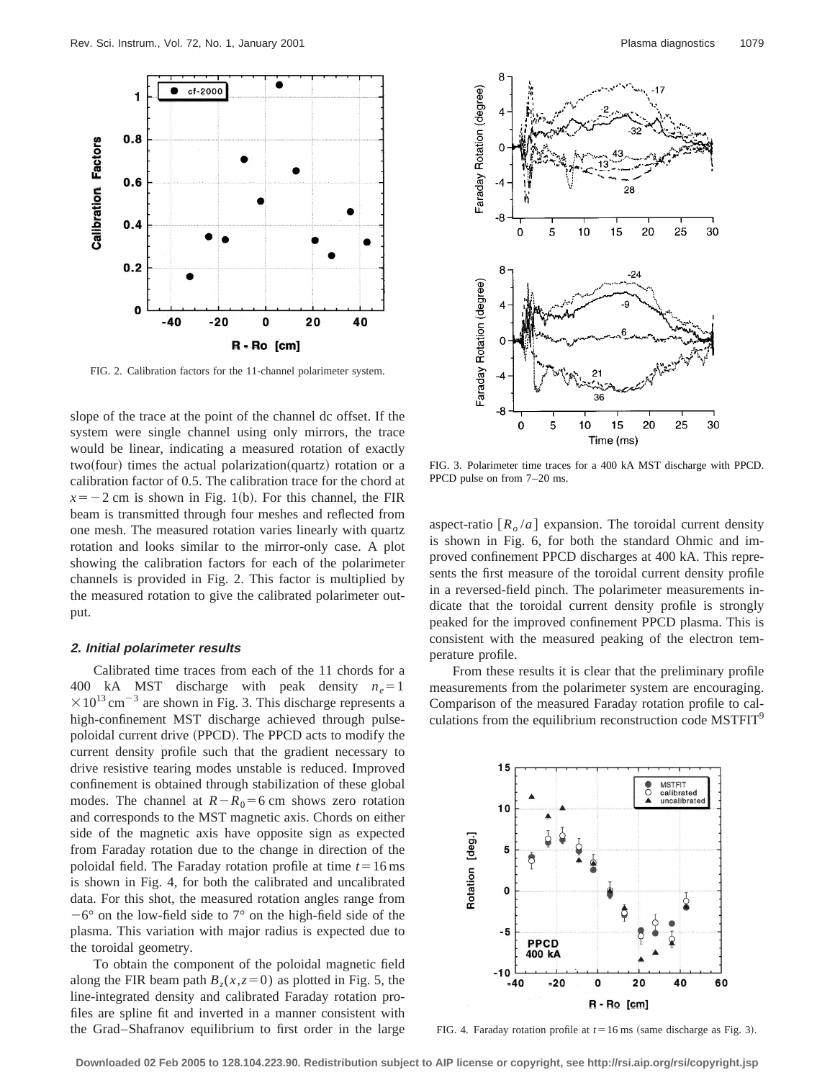

FIG. 2. Calibration factors for the 11-channel polarimeter system.

slope of the trace at the point of the channel dc offset. If the system were single channel using only mirrors, the trace would be linear, indicating a measured rotation of exactly  $two(four)$  times the actual polarization(quartz) rotation or a calibration factor of 0.5. The calibration trace for the chord at  $x=-2$  cm is shown in Fig. 1(b). For this channel, the FIR beam is transmitted through four meshes and reflected from one mesh. The measured rotation varies linearly with quartz rotation and looks similar to the mirror-only case. A plot showing the calibration factors for each of the polarimeter channels is provided in Fig. 2. This factor is multiplied by the measured rotation to give the calibrated polarimeter output.

#### **2. Initial polarimeter results**

Calibrated time traces from each of the 11 chords for a 400 kA MST discharge with peak density  $n_e = 1$  $\times$ 10<sup>13</sup> cm<sup>-3</sup> are shown in Fig. 3. This discharge represents a high-confinement MST discharge achieved through pulsepoloidal current drive (PPCD). The PPCD acts to modify the current density profile such that the gradient necessary to drive resistive tearing modes unstable is reduced. Improved confinement is obtained through stabilization of these global modes. The channel at  $R-R_0=6$  cm shows zero rotation and corresponds to the MST magnetic axis. Chords on either side of the magnetic axis have opposite sign as expected from Faraday rotation due to the change in direction of the poloidal field. The Faraday rotation profile at time  $t=16$  ms is shown in Fig. 4, for both the calibrated and uncalibrated data. For this shot, the measured rotation angles range from  $-6^{\circ}$  on the low-field side to  $7^{\circ}$  on the high-field side of the plasma. This variation with major radius is expected due to the toroidal geometry.

To obtain the component of the poloidal magnetic field along the FIR beam path  $B_z(x, z=0)$  as plotted in Fig. 5, the line-integrated density and calibrated Faraday rotation profiles are spline fit and inverted in a manner consistent with the Grad–Shafranov equilibrium to first order in the large



FIG. 3. Polarimeter time traces for a 400 kA MST discharge with PPCD. PPCD pulse on from 7–20 ms.

aspect-ratio  $[R_o/a]$  expansion. The toroidal current density is shown in Fig. 6, for both the standard Ohmic and improved confinement PPCD discharges at 400 kA. This represents the first measure of the toroidal current density profile in a reversed-field pinch. The polarimeter measurements indicate that the toroidal current density profile is strongly peaked for the improved confinement PPCD plasma. This is consistent with the measured peaking of the electron temperature profile.

From these results it is clear that the preliminary profile measurements from the polarimeter system are encouraging. Comparison of the measured Faraday rotation profile to calculations from the equilibrium reconstruction code MSTFIT<sup>9</sup>



FIG. 4. Faraday rotation profile at  $t=16$  ms (same discharge as Fig. 3).

**Downloaded 02 Feb 2005 to 128.104.223.90. Redistribution subject to AIP license or copyright, see http://rsi.aip.org/rsi/copyright.jsp**